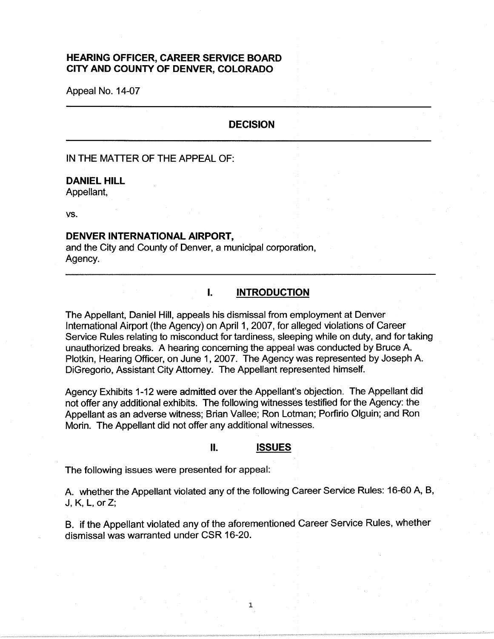# **HEARING OFFICER, CAREER SERVICE BOARD CITY AND COUNTY OF DENVER, COLORADO**

Appeal No. 14-07

# **DECISION**

IN THE MATTER OF THE APPEAL OF:

### **DANIEL HILL**

Appellant,

vs.

## **DENVER INTERNATIONAL AIRPORT,**

and the City and County of Denver, a municipal corporation, Agency.

# I. **INTRODUCTION**

The Appellant, Daniel Hill, appeals his dismissal from employment at Denver International Airport (the Agency) on April 1, 2007, for alleged violations of Career Service Rules relating to misconduct for tardiness, sleeping while on duty, and for taking unauthorized breaks. A hearing concerning the appeal was conducted by Bruce A. Plotkin, Hearing Officer, on June 1, 2007. The Agency was represented by Joseph A. DiGregorio, Assistant City Attorney. The Appellant represented himself.

Agency Exhibits 1-12 were admitted over the Appellant's objection. The Appellant did not offer any additional exhibits. The following witnesses testified for the Agency: the Appellant as an adverse witness; Brian Vallee; Ron Lotman; Porfirio Olguin; and Ron Morin. The Appellant did not offer any additional witnesses.

#### II. **ISSUES**

The following issues were presented for appeal:

A. whether the Appellant violated any of the following Career Service Rules: 16-60 A, B, J, K, L, orZ;

B. if the Appellant violated any of the aforementioned Career Service Rules, whether dismissal was warranted under CSR 16-20.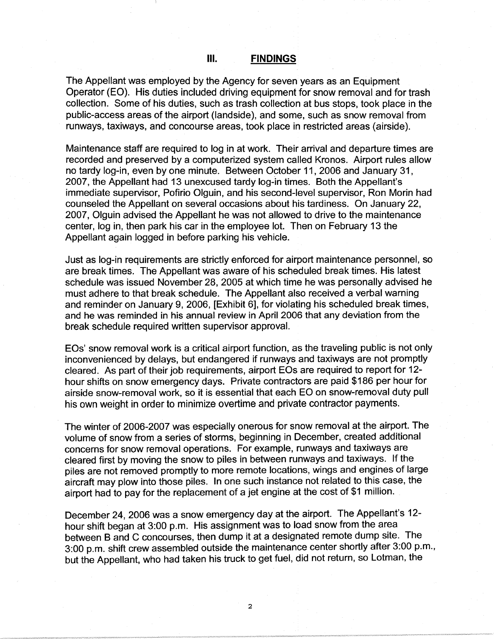The Appellant was employed by the Agency for seven years as an Equipment Operator (EO). His duties included driving equipment for snow removal and for trash collection. Some of his duties, such as trash collection at bus stops, took place in the public-access areas of the airport (landside ), and some, such as snow removal from runways, taxiways, and concourse areas, took place in restricted areas (airside).

Maintenance staff are required to log in at work. Their arrival and departure times are recorded and preserved by a computerized system called Kronos. Airport rules allow no tardy log-in, even by one minute. Between October 11, 2006 and January 31, 2007, the Appellant had 13 unexcused tardy log-in times. Both the Appellant's immediate supervisor, Pofirio Olguin, and his second-level supervisor, Ron Morin had counseled the Appellant on several occasions about his tardiness. On January 22, 2007, Olguin advised the Appellant he was not allowed to drive to the maintenance center, log in, then park his car in the employee lot. Then on February 13 the Appellant again logged in before parking his vehicle.

Just as log-in requirements are strictly enforced for airport maintenance personnel, so are break times. The Appellant was aware of his scheduled break times. His latest schedule was issued November 28, 2005 at which time he was personally advised he must adhere to that break schedule. The Appellant also received a verbal warning and reminder on January 9, 2006, [Exhibit 6], for violating his scheduled break times, and he was reminded in his annual review in April 2006 that any deviation from the break schedule required written supervisor approval.

EOs' snow removal work is a critical airport function, as the traveling public is not only inconvenienced by delays, but endangered if runways and taxiways are not promptly cleared. As part of their job requirements, airport EOs are required to report for 12 hour shifts on snow emergency days. Private contractors are paid \$186 per hour for airside snow-removal work, so it is essential that each EO on snow-removal duty pull his own weight in order to minimize overtime and private contractor payments.

The winter of 2006-2007 was especially onerous for snow removal at the airport. The volume of snow from a series of storms, beginning in December, created additional concerns for snow removal operations. For example, runways and taxiways are cleared first by moving the snow to piles in between runways and taxiways. If the piles are not removed promptly to more remote locations, wings and engines of large aircraft may plow into those piles. In one such instance not related to this case, the airport had to pay for the replacement of a jet engine at the cost of \$1 million.

December 24, 2006 was a snow emergency day at the airport. The Appellant's 12 hour shift began at 3:00 p.m. His assignment was to load snow from the area between B and C concourses, then dump it at a designated remote dump site. The 3:00 p.m. shift crew assembled outside the maintenance center shortly after 3:00 p.m., but the Appellant, who had taken his truck to get fuel, did not return, so Lotman, the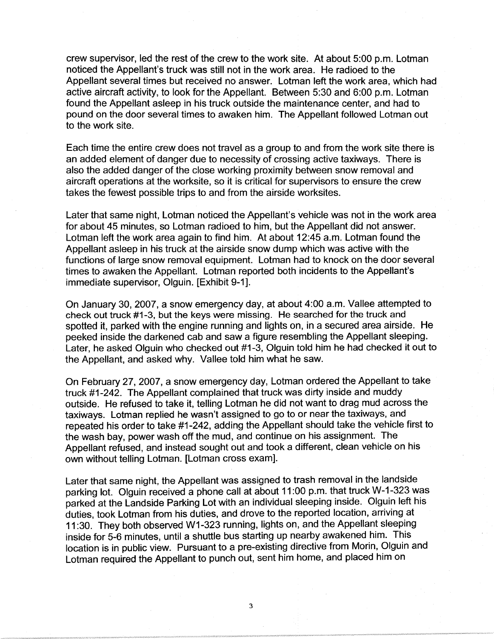crew supervisor, led the rest of the crew to the work site. At about 5:00 p.m. Lotman noticed the Appellant's truck was still not in the work area. He radioed to the Appellant several times but received no answer. Lotman left the work area, which had active aircraft activity, to look for the Appellant. Between 5:30 and 6:00 p.m. Lotman found the Appellant asleep in his truck outside the maintenance center, and had to pound on the door several times to awaken him. The Appellant followed Lotman out to the work site.

Each time the entire crew does not travel as a group to and from the work site there is an added element of danger due to necessity of crossing active taxiways. There is also the added danger of the close working proximity between snow removal and aircraft operations at the worksite, so it is critical for supervisors to ensure the crew takes the fewest possible trips to and from the airside worksites.

Later that same night, Lotman noticed the Appellant's vehicle was not in the work area for about 45 minutes, so Lotman radioed to him, but the Appellant did not answer. Lotman left the work area again to find him. At about 12:45 a.m. Lotman found the Appellant asleep in his truck at the airside snow dump which was active with the functions of large snow removal equipment. Lotman had to knock on the door several times to awaken the Appellant. Lotman reported both incidents to the Appellant's immediate supervisor, Olguin. [Exhibit 9-1].

On January 30, 2007, a snow emergency day, at about 4:00 a.m. Vallee attempted to check out truck #1-3, but the keys were missing. He searched for the truck and spotted it, parked with the engine running and lights on, in a secured area airside. He peeked inside the darkened cab and saw a figure resembling the Appellant sleeping. Later, he asked Olguin who checked out #1-3, Olguin told him he had checked it out to the Appellant, and asked why. Vallee told him what he saw.

On February 27, 2007, a snow emergency day, Lotman ordered the Appellant to take truck #1-242. The Appellant complained that truck was dirty inside and muddy outside. He refused to take it, telling Lotman he did not want to drag mud across the taxiways. Lotman replied he wasn't assigned to go to or near the taxiways, and repeated his order to take #1-242, adding the Appellant should take the vehicle first to the wash bay, power wash off the mud, and continue on his assignment. The Appellant refused, and instead sought out and took a different, clean vehicle on his own without telling Lotman. [Lotman cross exam].

Later that same night, the Appellant was assigned to trash removal in the landside parking lot. Olguin received a phone call at about 11 :00 p.m. that truck W-1-323 was parked at the Landside Parking Lot with an individual sleeping inside. Olguin left his duties, took Lotman from his duties, and drove to the reported location, arriving at 11 :30. They both observed W1-323 running, lights on, and the Appellant sleeping inside for 5-6 minutes, until a shuttle bus starting up nearby awakened him. This location is in public view. Pursuant to a pre-existing directive from Morin, Olguin and Lotman required the Appellant to punch out, sent him home, and placed him on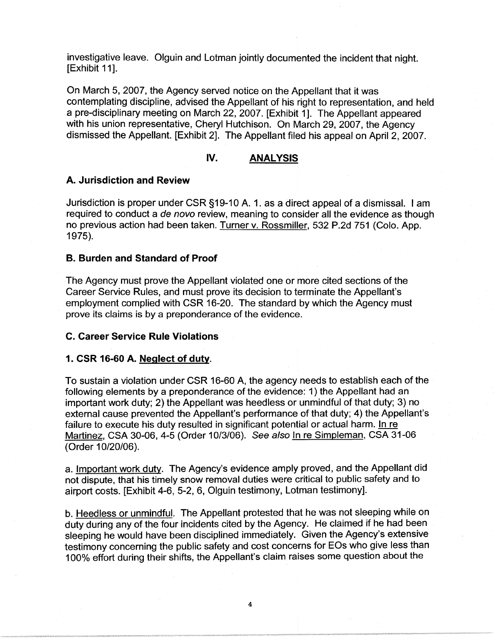investigative leave. Olguin and Lotman jointly documented the incident that night. [Exhibit 11].

On March 5, 2007, the Agency served notice on the Appellant that it was contemplating discipline, advised the Appellant of his right to representation, and held a pre-disciplinary meeting on March 22, 2007. [Exhibit 1]. The Appellant appeared with his union representative, Cheryl Hutchison. On March 29, 2007, the Agency dismissed the Appellant. [Exhibit 2]. The Appellant filed his appeal on April 2, 2007.

# **IV. ANALYSIS**

## **A. Jurisdiction and Review**

Jurisdiction is proper under CSR §19-10 A. 1. as a direct appeal of a dismissal. I am required to conduct a de novo review, meaning to consider all the evidence as though no previous action had been taken. Turner v. Rossmiller, 532 P.2d 751 (Colo. App. 1975).

# **B. Burden and Standard of Proof**

The Agency must prove the Appellant violated one or more cited sections of the Career Service Rules, and must prove its decision to terminate the Appellant's employment complied with CSR 16-20. The standard by which the Agency must prove its claims is by a preponderance of the evidence.

## **C. Career Service Rule Violations**

#### **1. CSR 16-60 A. Neglect of duty.**

To sustain a violation under CSR 16-60 A, the agency needs to establish each of the following elements by a preponderance of the evidence: 1) the Appellant had an important work duty; 2) the Appellant was heedless or unmindful of that duty; 3) no external cause prevented the Appellant's performance of that duty; 4) the Appellant's failure to execute his duty resulted in significant potential or actual harm. In re Martinez, CSA 30-06, 4-5 (Order 10/3/06). See also In re Simpleman, CSA 31-06 (Order 10/20/06).

a. Important work duty. The Agency's evidence amply proved, and the Appellant did not dispute, that his timely snow removal duties were critical to public safety and to airport costs. [Exhibit 4-6, 5-2, 6, Olguin testimony, Lotman testimony].

b. Heedless or unmindful. The Appellant protested that he was not sleeping while on duty during any of the four incidents cited by the Agency. He claimed if he had been sleeping he would have been disciplined immediately. Given the Agency's extensive testimony concerning the public safety and cost concerns for EOs who give less than 100% effort during their shifts, the Appellant's claim raises some question about the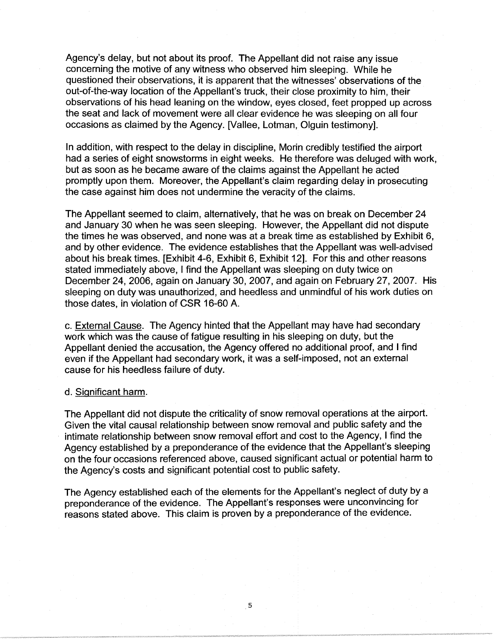Agency's delay, but not about its proof. The Appellant did not raise any issue concerning the motive of any witness who observed him sleeping. While he questioned their observations, it is apparent that the witnesses' observations of the out-of-the-way location of the Appellant's truck, their close proximity to him, their observations of his head leaning on the window, eyes closed, feet propped up across the seat and lack of movement were all clear evidence he was sleeping on all four occasions as claimed by the Agency. [Vallee, Lotman, Olguin testimony].

In addition, with respect to the delay in discipline, Morin credibly testified the airport had a series of eight snowstorms in eight weeks. He therefore was deluged with work, but as soon as he became aware of the claims against the Appellant he acted promptly upon them. Moreover, the Appellant's claim regarding delay in prosecuting the case against him does not undermine the veracity of the claims.

The Appellant seemed to claim, alternatively, that he was on break on December 24 and January 30 when he was seen sleeping. However, the Appellant did not dispute the times he was observed, and none was at a break time as established by Exhibit 6, and by other evidence. The evidence establishes that the Appellant was well-advised about his break times. [Exhibit 4-6, Exhibit 6, Exhibit 12]. For this and other reasons stated immediately above, I find the Appellant was sleeping on duty twice on December 24, 2006, again on January 30, 2007, and again on February 27, 2007. His sleeping on duty was unauthorized, and heedless and unmindful of his work duties on those dates, in violation of CSR 16-60 A.

c. External Cause. The Agency hinted that the Appellant may have had secondary work which was the cause of fatigue resulting in his sleeping on duty, but the Appellant denied the accusation, the Agency offered no additional proof, and I find even if the Appellant had secondary work, it was a self-imposed, not an external cause for his heedless failure of duty.

## d. Significant harm.

The Appellant did not dispute the criticality of snow removal operations at the airport. Given the vital causal relationship between snow removal and public safety and the intimate relationship between snow removal effort and cost to the Agency, I find the Agency established by a preponderance of the evidence that the Appellant's sleeping on the four occasions referenced above, caused significant actual or potential harm to the Agency's costs and significant potential cost to public safety.

The Agency established each of the elements for the Appellant's neglect of duty by a preponderance of the evidence. The Appellant's responses were unconvincing for reasons stated above. This claim is proven by a preponderance of the evidence.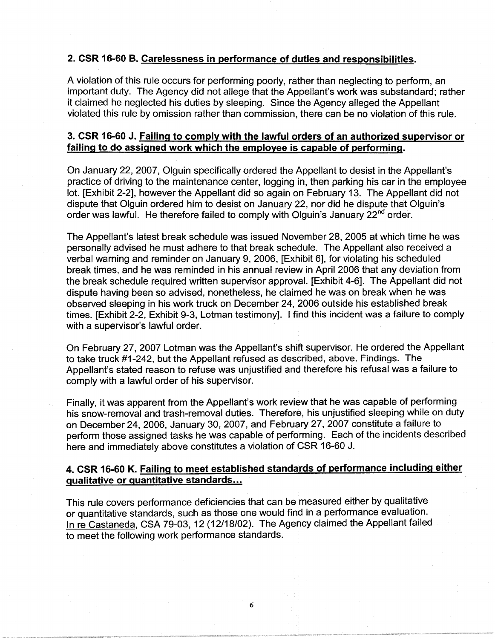# **2. CSR 16-60 B. Carelessness in performance of duties and responsibilities.**

A violation of this rule occurs for performing poorly, rather than neglecting to perform, an important duty. The Agency did not allege that the Appellant's work was substandard; rather it claimed he neglected his duties by sleeping. Since the Agency alleged the Appellant violated this rule by omission rather than commission, there can be no violation of this rule.

# **3. CSR 16-60 J. Failing to comply with the lawful orders of an authorized supervisor or failing to do assigned work which the employee is capable of performing.**

On January 22, 2007, Olguin specifically ordered the Appellant to desist in the Appellant's practice of driving to the maintenance center, logging in, then parking his car in the employee lot. [Exhibit 2-2], however the Appellant did so again on February 13. The Appellant did not dispute that Olguin ordered him to desist on January 22, nor did he dispute that Olguin's order was lawful. He therefore failed to comply with Olguin's January 22<sup>nd</sup> order.

The Appellant's latest break schedule was issued November 28, 2005 at which time he was personally advised he must adhere to that break schedule. The Appellant also received a verbal warning and reminder on January 9, 2006, [Exhibit 6], for violating his scheduled break times, and he was reminded in his annual review in April 2006 that any deviation from the break schedule required written supervisor approval. [Exhibit 4-6]. The Appellant did not dispute having been so advised, nonetheless, he claimed he was on break when he was observed sleeping in his work truck on December 24, 2006 outside his established break times. [Exhibit 2-2, Exhibit 9-3, Letman testimony]. I find this incident was a failure to comply with a supervisor's lawful order.

On February 27, 2007 Letman was the Appellant's shift supervisor. He ordered the Appellant to take truck #1-242, but the Appellant refused as described, above. Findings. The Appellant's stated reason to refuse was unjustified and therefore his refusal was a failure to comply with a lawful order of his supervisor.

Finally, it was apparent from the Appellant's work review that he was capable of performing his snow-removal and trash-removal duties. Therefore, his unjustified sleeping while on duty on December 24, 2006, January 30, 2007, and February 27, 2007 constitute a failure to perform those assigned tasks he was capable of performing. Each of the incidents described here and immediately above constitutes a violation of CSR 16-60 J.

# **4. CSR 16-60 K. Failing to meet established standards of performance including either qualitative or quantitative standards ...**

This rule covers performance deficiencies that can be measured either by qualitative or quantitative standards, such as those one would find in a performance evaluation. In re Castaneda, CSA 79-03, 12 (12/18/02). The Agency claimed the Appellant failed to meet the following work performance standards.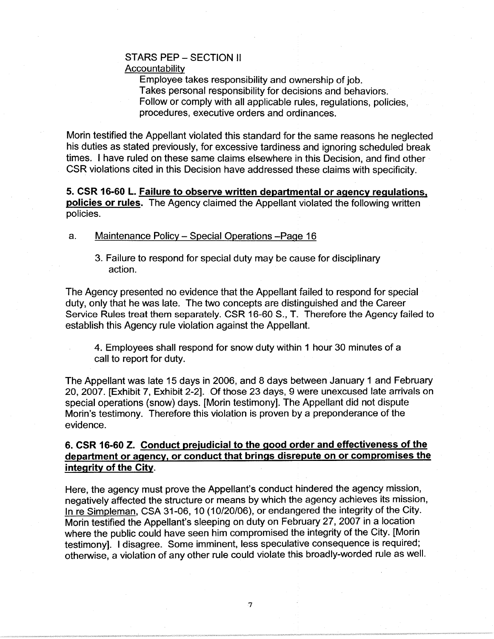# STARS PEP - SECTION II **Accountability**

Employee takes responsibility and ownership of job. Takes personal responsibility for decisions and behaviors. Follow or comply with all applicable rules, regulations, policies, procedures, executive orders and ordinances.

Morin testified the Appellant violated this standard for the same reasons he neglected his duties as stated previously, for excessive tardiness and ignoring scheduled break times. I have ruled on these same claims elsewhere in this Decision, and find other CSR violations cited in this Decision have addressed these claims with specificity.

**5. CSR 16-60 L. Failure to observe written departmental or agency regulations, policies or rules.** The Agency claimed the Appellant violated the following written policies.

#### a. Maintenance Policy - Special Operations -Page 16

3. Failure to respond for special duty may be cause for disciplinary action.

The Agency presented no evidence that the Appellant failed to respond for special duty, only that he was late. The two concepts are distinguished and the Career Service Rules treat them separately. CSR 16-60 S., T. Therefore the Agency failed to establish this Agency rule violation against the Appellant.

4. Employees shall respond for snow duty within 1 hour 30 minutes of a call to report for duty.

The Appellant was late 15 days in 2006, and 8 days between January 1 and February 20, 2007. [Exhibit 7, Exhibit 2-2]. Of those 23 days, 9 were unexcused late arrivals on special operations (snow) days. [Morin testimony]. The Appellant did not dispute Morin's testimony. Therefore this violation is proven by a preponderance of the evidence.

# **6. CSR 16-60 Z. Conduct prejudicial to the good order and effectiveness of the department or agency, or conduct that brings disrepute on or compromises the integrity of the City.**

Here, the agency must prove the Appellant's conduct hindered the agency mission, negatively affected the structure or means by which the agency achieves its mission, In re Simpleman, CSA 31-06, 10 (10/20/06), or endangered the integrity of the City. Morin testified the Appellant's sleeping on duty on February 27, 2007 in a location where the public could have seen him compromised the integrity of the City. [Morin testimony]. I disagree. Some imminent, less speculative consequence is required; otherwise, a violation of any other rule could violate this broadly-worded rule as well.